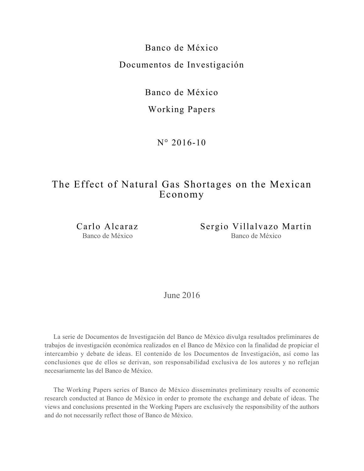Banco de México Documentos de Investigación

Banco de México

Working Papers

N° 2016-10

# The Effect of Natural Gas Shortages on the Mexican Economy

Carlo Alcaraz Banco de México

Sergio Villalvazo Martin Banco de México

June 2016

La serie de Documentos de Investigación del Banco de México divulga resultados preliminares de trabajos de investigación económica realizados en el Banco de México con la finalidad de propiciar el intercambio y debate de ideas. El contenido de los Documentos de Investigación, así como las conclusiones que de ellos se derivan, son responsabilidad exclusiva de los autores y no reflejan necesariamente las del Banco de México.

The Working Papers series of Banco de México disseminates preliminary results of economic research conducted at Banco de México in order to promote the exchange and debate of ideas. The views and conclusions presented in the Working Papers are exclusively the responsibility of the authors and do not necessarily reflect those of Banco de México.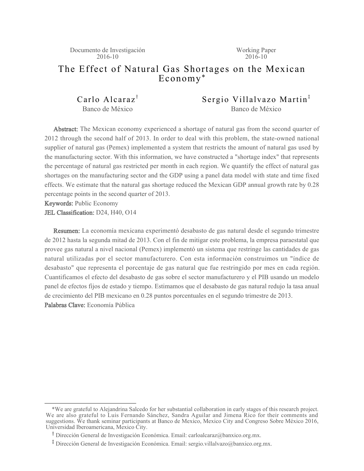Documento de Investigación 2016-10

Working Paper  $2016 - 10$ 

# The Effect of Natural Gas Shortages on the Mexican Economy\*

Carlo Alcaraz<sup>†</sup> Banco de México

Sergio Villalvazo Martin<sup> $#$ </sup> Banco de México

Abstract: The Mexican economy experienced a shortage of natural gas from the second quarter of 2012 through the second half of 2013. In order to deal with this problem, the state-owned national supplier of natural gas (Pemex) implemented a system that restricts the amount of natural gas used by the manufacturing sector. With this information, we have constructed a "shortage index" that represents the percentage of natural gas restricted per month in each region. We quantify the effect of natural gas shortages on the manufacturing sector and the GDP using a panel data model with state and time fixed effects. We estimate that the natural gas shortage reduced the Mexican GDP annual growth rate by 0.28 percentage points in the second quarter of 2013.

Keywords: Public Economy

JEL Classification: D24, H40, O14

Resumen: La economía mexicana experimentó desabasto de gas natural desde el segundo trimestre de 2012 hasta la segunda mitad de 2013. Con el fin de mitigar este problema, la empresa paraestatal que provee gas natural a nivel nacional (Pemex) implementó un sistema que restringe las cantidades de gas natural utilizadas por el sector manufacturero. Con esta información construimos un "índice de desabasto" que representa el porcentaje de gas natural que fue restringido por mes en cada región. Cuantificamos el efecto del desabasto de gas sobre el sector manufacturero y el PIB usando un modelo panel de efectos fijos de estado y tiempo. Estimamos que el desabasto de gas natural redujo la tasa anual de crecimiento del PIB mexicano en 0.28 puntos porcentuales en el segundo trimestre de 2013. Palabras Clave: Economía Pública

 <sup>\*</sup>We are grateful to Alejandrina Salcedo for her substantial collaboration in early stages of this research project. We are also grateful to Luis Fernando Sánchez, Sandra Aguilar and Jimena Rico for their comments and suggestions. We thank seminar participants at Banco de Mexico, Mexico City and Congreso Sobre México 2016, Universidad Iberoamericana, Mexico City.

<sup>&</sup>lt;sup>T</sup> Dirección General de Investigación Económica. Email: carloalcaraz@banxico.org.mx.

<sup>&</sup>lt;sup>‡</sup> Dirección General de Investigación Económica. Email: sergio.villalvazo@banxico.org.mx.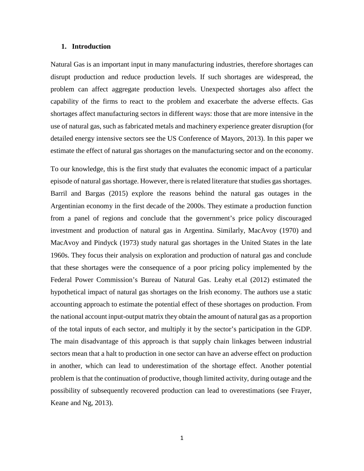#### 1. Introduction

Natural Gas is an important input in many manufacturing industries, therefore shortages can disrupt production and reduce production levels. If such shortages are widespread, the problem can affect aggregate production levels. Unexpected shortages also affect the capability of the firms to react to the problem and exacerbate the adverse effects. Gas shortages affect manufacturing sectors in different ways: those that are more intensive in the use of natural gas, such as fabricated metals and machinery experience greater disruption (for detailed energy intensive sectors see the US Conference of Mayors, 2013). In this paper we estimate the effect of natural gas shortages on the manufacturing sector and on the economy.

To our knowledge, this is the first study that evaluates the economic impact of a particular episode of natural gas shortage. However, there is related literature that studies gas shortages. Barril and Bargas (2015) explore the reasons behind the natural gas outages in the Argentinian economy in the first decade of the 2000s. They estimate a production function from a panel of regions and conclude that the government's price policy discouraged investment and production of natural gas in Argentina. Similarly, MacAvoy (1970) and MacAvoy and Pindyck (1973) study natural gas shortages in the United States in the late 1960s. They focus their analysis on exploration and production of natural gas and conclude that these shortages were the consequence of a poor pricing policy implemented by the Federal Power Commission's Bureau of Natural Gas. Leahy et.al (2012) estimated the hypothetical impact of natural gas shortages on the Irish economy. The authors use a static accounting approach to estimate the potential effect of these shortages on production. From the national account input-output matrix they obtain the amount of natural gas as a proportion of the total inputs of each sector, and multiply it by the sector's participation in the GDP. The main disadvantage of this approach is that supply chain linkages between industrial sectors mean that a halt to production in one sector can have an adverse effect on production in another, which can lead to underestimation of the shortage effect. Another potential problem is that the continuation of productive, though limited activity, during outage and the possibility of subsequently recovered production can lead to overestimations (see Frayer, Keane and Ng, 2013).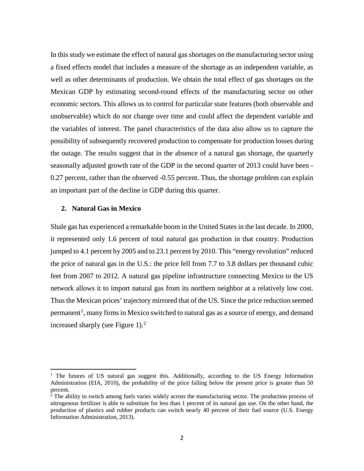In this study we estimate the effect of natural gas shortages on the manufacturing sector using a fixed effects model that includes a measure of the shortage as an independent variable, as well as other determinants of production. We obtain the total effect of gas shortages on the Mexican GDP by estimating second-round effects of the manufacturing sector on other economic sectors. This allows us to control for particular state features (both observable and unobservable) which do not change over time and could affect the dependent variable and the variables of interest. The panel characteristics of the data also allow us to capture the possibility of subsequently recovered production to compensate for production losses during the outage. The results suggest that in the absence of a natural gas shortage, the quarterly seasonally adjusted growth rate of the GDP in the second quarter of 2013 could have been -0.27 percent, rather than the observed -0.55 percent. Thus, the shortage problem can explain an important part of the decline in GDP during this quarter.

## 2. Natural Gas in Mexico

Shale gas has experienced a remarkable boom in the United States in the last decade. In 2000, it represented only 1.6 percent of total natural gas production in that country. Production jumped to 4.1 percent by 2005 and to 23.1 percent by 2010. This "energy revolution" reduced the price of natural gas in the U.S.: the price fell from 7.7 to 3.8 dollars per thousand cubic feet from 2007 to 2012. A natural gas pipeline infrastructure connecting Mexico to the US network allows it to import natural gas from its northern neighbor at a relatively low cost. Thus the Mexican prices' trajectory mirrored that of the US. Since the price reduction seemed permanent<sup>1</sup>, many firms in Mexico switched to natural gas as a source of energy, and demand increased sharply (see Figure 1). $^2$ 

<sup>&</sup>lt;sup>1</sup> The futures of US natural gas suggest this. Additionally, according to the US Energy Information Administration (EIA, 2010), the probability of the price falling below the present price is greater than 50 percent.

 $\frac{1}{2}$  The ability to switch among fuels varies widely across the manufacturing sector. The production process of nitrogenous fertilizer is able to substitute for less than 1 percent of its natural gas use. On the other hand, the production of plastics and rubber products can switch nearly 40 percent of their fuel source (U.S. Energy Information Administration, 2013).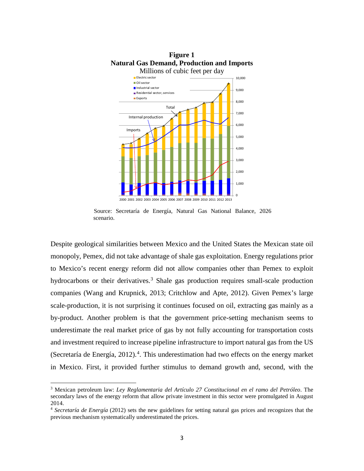

Source: Secretaría de Energía, Natural Gas National Balance, 2026 scenario.

Despite geological similarities between Mexico and the United States the Mexican state oil monopoly, Pemex, did not take advantage of shale gas exploitation. Energy regulations prior to Mexico's recent energy reform did not allow companies other than Pemex to exploit hydrocarbons or their derivatives.<sup>3</sup> Shale gas production requires small-scale production companies (Wang and Krupnick, 2013; Critchlow and Apte, 2012). Given Pemex's large scale-production, it is not surprising it continues focused on oil, extracting gas mainly as a by-product. Another problem is that the government price-setting mechanism seems to underestimate the real market price of gas by not fully accounting for transportation costs and investment required to increase pipeline infrastructure to import natural gas from the US (Secretaría de Energía, 2012).<sup>4</sup>. This underestimation had two effects on the energy market in Mexico. First, it provided further stimulus to demand growth and, second, with the

<sup>&</sup>lt;sup>3</sup> Mexican petroleum law: Ley Reglamentaria del Artículo 27 Constitucional en el ramo del Petróleo. The secondary laws of the energy reform that allow private investment in this sector were promulgated in August 2014.

<sup>&</sup>lt;sup>4</sup> Secretaría de Energía (2012) sets the new guidelines for setting natural gas prices and recognizes that the previous mechanism systematically underestimated the prices.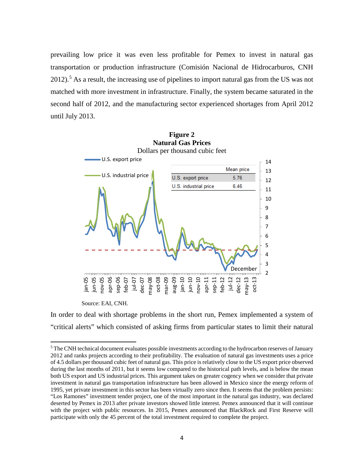prevailing low price it was even less profitable for Pemex to invest in natural gas transportation or production infrastructure (Comisión Nacional de Hidrocarburos, CNH  $2012$ ).<sup>5</sup> As a result, the increasing use of pipelines to import natural gas from the US was not matched with more investment in infrastructure. Finally, the system became saturated in the second half of 2012, and the manufacturing sector experienced shortages from April 2012 until July 2013.



Source: EAI, CNH.

In order to deal with shortage problems in the short run, Pemex implemented a system of "critical alerts" which consisted of asking firms from particular states to limit their natural

<sup>&</sup>lt;sup>5</sup> The CNH technical document evaluates possible investments according to the hydrocarbon reserves of January 2012 and ranks projects according to their profitability. The evaluation of natural gas investments uses a price of 4.5 dollars per thousand cubic feet of natural gas. This price is relatively close to the US export price observed during the last months of 2011, but it seems low compared to the historical path levels, and is below the mean both US export and US industrial prices. This argument takes on greater cogency when we consider that private investment in natural gas transportation infrastructure has been allowed in Mexico since the energy reform of 1995, yet private investment in this sector has been virtually zero since then. It seems that the problem persists: "Los Ramones" investment tender project, one of the most important in the natural gas industry, was declared deserted by Pemex in 2013 after private investors showed little interest. Pemex announced that it will continue with the project with public resources. In 2015, Pemex announced that BlackRock and First Reserve will participate with only the 45 percent of the total investment required to complete the project.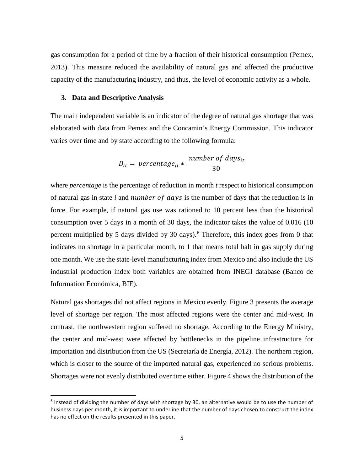gas consumption for a period of time by a fraction of their historical consumption (Pemex, 2013). This measure reduced the availability of natural gas and affected the productive capacity of the manufacturing industry, and thus, the level of economic activity as a whole.

### 3. Data and Descriptive Analysis

The main independent variable is an indicator of the degree of natural gas shortage that was elaborated with data from Pemex and the Concamin's Energy Commission. This indicator varies over time and by state according to the following formula:

$$
D_{it} = percentage_{it} * \frac{number\ of\ days_{it}}{30}
$$

where *percentage* is the percentage of reduction in month *t* respect to historical consumption of natural gas in state  $i$  and number of days is the number of days that the reduction is in force. For example, if natural gas use was rationed to 10 percent less than the historical consumption over 5 days in a month of 30 days, the indicator takes the value of 0.016 (10 percent multiplied by 5 days divided by 30 days).<sup>6</sup> Therefore, this index goes from 0 that indicates no shortage in a particular month, to 1 that means total halt in gas supply during one month. We use the state-level manufacturing index from Mexico and also include the US industrial production index both variables are obtained from INEGI database (Banco de Information Económica, BIE).

Natural gas shortages did not affect regions in Mexico evenly. Figure 3 presents the average level of shortage per region. The most affected regions were the center and mid-west. In contrast, the northwestern region suffered no shortage. According to the Energy Ministry, the center and mid-west were affected by bottlenecks in the pipeline infrastructure for importation and distribution from the US (Secretaría de Energía, 2012). The northern region, which is closer to the source of the imported natural gas, experienced no serious problems. Shortages were not evenly distributed over time either. Figure 4 shows the distribution of the

 $6$  Instead of dividing the number of days with shortage by 30, an alternative would be to use the number of business days per month, it is important to underline that the number of days chosen to construct the index has no effect on the results presented in this paper.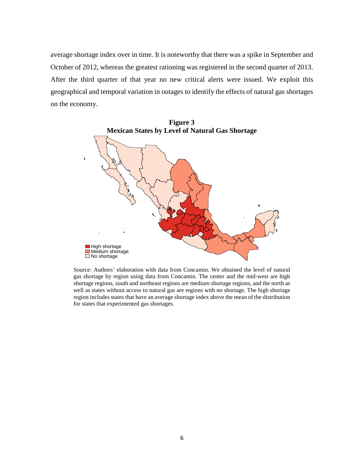average shortage index over in time. It is noteworthy that there was a spike in September and October of 2012, whereas the greatest rationing was registered in the second quarter of 2013. After the third quarter of that year no new critical alerts were issued. We exploit this geographical and temporal variation in outages to identify the effects of natural gas shortages on the economy.



Source: Authors' elaboration with data from Concamin. We obtained the level of natural gas shortage by region using data from Concamin. The center and the mid-west are high shortage regions, south and northeast regions are medium shortage regions, and the north as well as states without access to natural gas are regions with no shortage. The high shortage region includes states that have an average shortage index above the mean of the distribution for states that experimented gas shortages.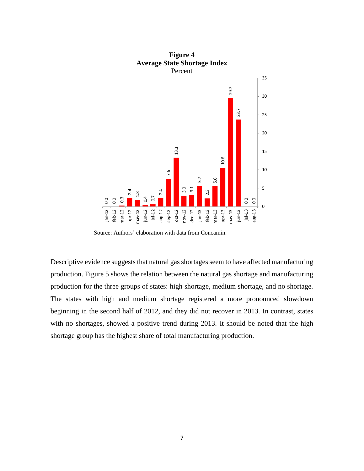

Source: Authors' elaboration with data from Concamin.

Descriptive evidence suggests that natural gas shortages seem to have affected manufacturing production. Figure 5 shows the relation between the natural gas shortage and manufacturing production for the three groups of states: high shortage, medium shortage, and no shortage. The states with high and medium shortage registered a more pronounced slowdown beginning in the second half of 2012, and they did not recover in 2013. In contrast, states with no shortages, showed a positive trend during 2013. It should be noted that the high shortage group has the highest share of total manufacturing production.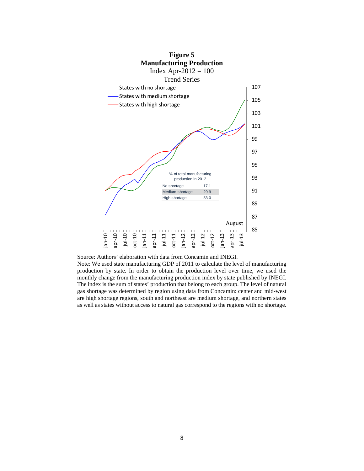

Source: Authors' elaboration with data from Concamin and INEGI. Note: We used state manufacturing GDP of 2011 to calculate the level of manufacturing production by state. In order to obtain the production level over time, we used the monthly change from the manufacturing production index by state published by INEGI. The index is the sum of states' production that belong to each group. The level of natural gas shortage was determined by region using data from Concamin: center and mid-west are high shortage regions, south and northeast are medium shortage, and northern states as well as states without access to natural gas correspond to the regions with no shortage.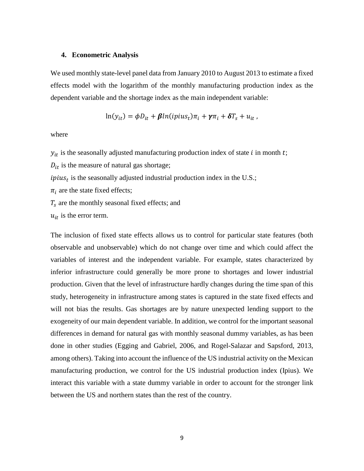#### 4. Econometric Analysis

We used monthly state-level panel data from January 2010 to August 2013 to estimate a fixed effects model with the logarithm of the monthly manufacturing production index as the dependent variable and the shortage index as the main independent variable:

$$
\ln(y_{it}) = \phi D_{it} + \beta \ln(i \pi y_{t}) \pi_{i} + \gamma \pi_{i} + \delta T_{s} + u_{it}
$$

where

 $y_{it}$  is the seasonally adjusted manufacturing production index of state i in month t;

 $D_{it}$  is the measure of natural gas shortage;

 $ipius_t$  is the seasonally adjusted industrial production index in the U.S.;

 $\pi_i$  are the state fixed effects;

 $T_s$  are the monthly seasonal fixed effects; and

 $u_{it}$  is the error term.

The inclusion of fixed state effects allows us to control for particular state features (both observable and unobservable) which do not change over time and which could affect the variables of interest and the independent variable. For example, states characterized by inferior infrastructure could generally be more prone to shortages and lower industrial production. Given that the level of infrastructure hardly changes during the time span of this study, heterogeneity in infrastructure among states is captured in the state fixed effects and will not bias the results. Gas shortages are by nature unexpected lending support to the exogeneity of our main dependent variable. In addition, we control for the important seasonal differences in demand for natural gas with monthly seasonal dummy variables, as has been done in other studies (Egging and Gabriel, 2006, and Rogel-Salazar and Sapsford, 2013, among others). Taking into account the influence of the US industrial activity on the Mexican manufacturing production, we control for the US industrial production index (Ipius). We interact this variable with a state dummy variable in order to account for the stronger link between the US and northern states than the rest of the country.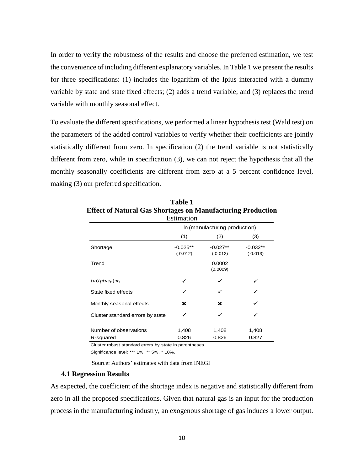In order to verify the robustness of the results and choose the preferred estimation, we test the convenience of including different explanatory variables. In Table 1 we present the results for three specifications: (1) includes the logarithm of the Ipius interacted with a dummy variable by state and state fixed effects; (2) adds a trend variable; and (3) replaces the trend variable with monthly seasonal effect.

To evaluate the different specifications, we performed a linear hypothesis test (Wald test) on the parameters of the added control variables to verify whether their coefficients are jointly statistically different from zero. In specification (2) the trend variable is not statistically different from zero, while in specification (3), we can not reject the hypothesis that all the monthly seasonally coefficients are different from zero at a 5 percent confidence level, making (3) our preferred specification.

|                                     | ESUINAUON                     |                          |                          |
|-------------------------------------|-------------------------------|--------------------------|--------------------------|
|                                     | In (manufacturing production) |                          |                          |
|                                     | (1)                           | (2)                      | (3)                      |
| Shortage                            | $-0.025**$<br>$(-0.012)$      | $-0.027**$<br>$(-0.012)$ | $-0.032**$<br>$(-0.013)$ |
| Trend                               |                               | 0.0002<br>(0.0009)       |                          |
| $ln(ipius_t)\pi_i$                  |                               |                          |                          |
| State fixed effects                 | ✓                             |                          |                          |
| Monthly seasonal effects            | ×                             | ×                        |                          |
| Cluster standard errors by state    | ✓                             |                          |                          |
| Number of observations<br>R-squared | 1,408<br>0.826                | 1,408<br>0.826           | 1,408<br>0.827           |

**Table 1 Effect of Natural Gas Shortages on Manufacturing Production**  $E<sub>atim</sub>$ 

Cluster robust standard errors by state in parentheses.

Significance level: \*\*\* 1%, \*\* 5%, \* 10%.

Source: Authors' estimates with data from INEGI

#### **4.1 Regression Results**

As expected, the coefficient of the shortage index is negative and statistically different from zero in all the proposed specifications. Given that natural gas is an input for the production process in the manufacturing industry, an exogenous shortage of gas induces a lower output.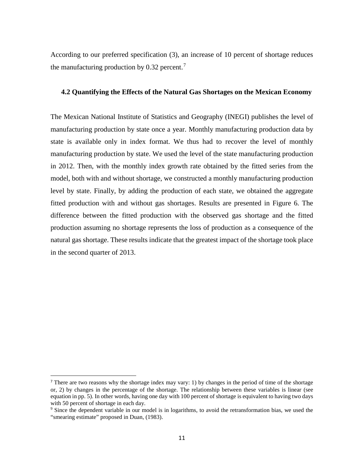According to our preferred specification (3), an increase of 10 percent of shortage reduces the manufacturing production by 0.32 percent.<sup>7</sup>

### 4.2 Quantifying the Effects of the Natural Gas Shortages on the Mexican Economy

The Mexican National Institute of Statistics and Geography (INEGI) publishes the level of manufacturing production by state once a year. Monthly manufacturing production data by state is available only in index format. We thus had to recover the level of monthly manufacturing production by state. We used the level of the state manufacturing production in 2012. Then, with the monthly index growth rate obtained by the fitted series from the model, both with and without shortage, we constructed a monthly manufacturing production level by state. Finally, by adding the production of each state, we obtained the aggregate fitted production with and without gas shortages. Results are presented in Figure 6. The difference between the fitted production with the observed gas shortage and the fitted production assuming no shortage represents the loss of production as a consequence of the natural gas shortage. These results indicate that the greatest impact of the shortage took place in the second quarter of 2013.

<sup>&</sup>lt;sup>7</sup> There are two reasons why the shortage index may vary: 1) by changes in the period of time of the shortage or, 2) by changes in the percentage of the shortage. The relationship between these variables is linear (see equation in pp. 5). In other words, having one day with 100 percent of shortage is equivalent to having two days with 50 percent of shortage in each day.

<sup>&</sup>lt;sup>9</sup> Since the dependent variable in our model is in logarithms, to avoid the retransformation bias, we used the "smearing estimate" proposed in Duan, (1983).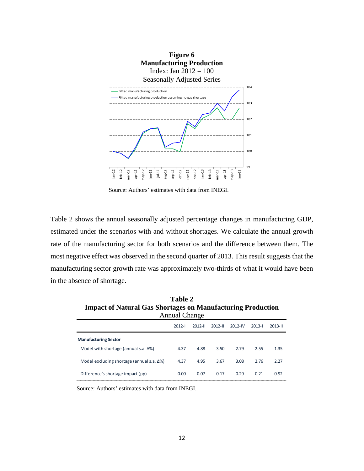

Source: Authors' estimates with data from INEGI.

Table 2 shows the annual seasonally adjusted percentage changes in manufacturing GDP, estimated under the scenarios with and without shortages. We calculate the annual growth rate of the manufacturing sector for both scenarios and the difference between them. The most negative effect was observed in the second quarter of 2013. This result suggests that the manufacturing sector growth rate was approximately two-thirds of what it would have been in the absence of shortage.

| <b>Table 2</b>                                                     |
|--------------------------------------------------------------------|
| <b>Impact of Natural Gas Shortages on Manufacturing Production</b> |
| Annual Change                                                      |

|                                                    | $2012 - 1$ | $2012 - 11$ | $2012 - 111$ | $2012 - IV$ | $2013 - 1$ | $2013 - 11$ |
|----------------------------------------------------|------------|-------------|--------------|-------------|------------|-------------|
| <b>Manufacturing Sector</b>                        |            |             |              |             |            |             |
| Model with shortage (annual s.a. $\Delta\%$ )      | 4.37       | 4.88        | 3.50         | 2.79        | 2.55       | 1.35        |
| Model excluding shortage (annual s.a. $\Delta\%$ ) | 4.37       | 4.95        | 3.67         | 3.08        | 2.76       | 2.27        |
| Difference's shortage impact (pp)                  | 0.00       | $-0.07$     | $-0.17$      | $-0.29$     | $-0.21$    | $-0.92$     |

Source: Authors' estimates with data from INEGI.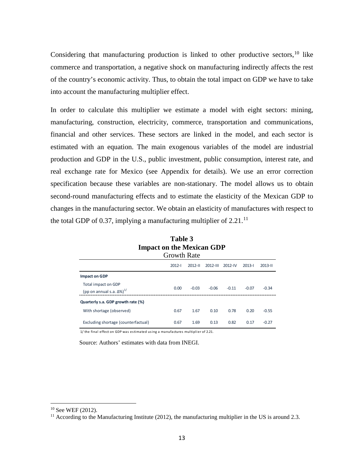Considering that manufacturing production is linked to other productive sectors.<sup>10</sup> like commerce and transportation, a negative shock on manufacturing indirectly affects the rest of the country's economic activity. Thus, to obtain the total impact on GDP we have to take into account the manufacturing multiplier effect.

In order to calculate this multiplier we estimate a model with eight sectors: mining, manufacturing, construction, electricity, commerce, transportation and communications, financial and other services. These sectors are linked in the model, and each sector is estimated with an equation. The main exogenous variables of the model are industrial production and GDP in the U.S., public investment, public consumption, interest rate, and real exchange rate for Mexico (see Appendix for details). We use an error correction specification because these variables are non-stationary. The model allows us to obtain second-round manufacturing effects and to estimate the elasticity of the Mexican GDP to changes in the manufacturing sector. We obtain an elasticity of manufactures with respect to the total GDP of 0.37, implying a manufacturing multiplier of  $2.21$ .<sup>11</sup>

| Impact on the Mexican GDP                                                   |                    |             |              |             |            |             |
|-----------------------------------------------------------------------------|--------------------|-------------|--------------|-------------|------------|-------------|
|                                                                             | <b>Growth Rate</b> |             |              |             |            |             |
|                                                                             | $2012 - 1$         | $2012 - 11$ | $2012 - 111$ | $2012 - IV$ | $2013 - 1$ | $2013 - 11$ |
| <b>Impact on GDP</b>                                                        |                    |             |              |             |            |             |
| <b>Total impact on GDP</b><br>(pp on annual s.a. $\Delta\%$ ) <sup>1/</sup> | 0.00               | $-0.03$     | $-0.06$      | $-0.11$     | $-0.07$    | $-0.34$     |
| Quarterly s.a. GDP growth rate (%)                                          |                    |             |              |             |            |             |
| With shortage (observed)                                                    | 0.67               | 1.67        | 0.10         | 0.78        | 0.20       | $-0.55$     |
| Excluding shortage (counterfactual)                                         | 0.67               | 1.69        | 0.13         | 0.82        | 0.17       | $-0.27$     |

Table 3

1/ the final effect on GDP was estimated using a manufactures multiplier of 2.21.

Source: Authors' estimates with data from INEGI.

 $10$  See WEF (2012).

<sup>&</sup>lt;sup>11</sup> According to the Manufacturing Institute (2012), the manufacturing multiplier in the US is around 2.3.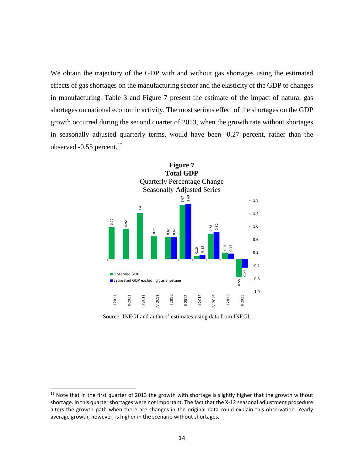We obtain the trajectory of the GDP with and without gas shortages using the estimated effects of gas shortages on the manufacturing sector and the elasticity of the GDP to changes in manufacturing. Table 3 and Figure 7 present the estimate of the impact of natural gas shortages on national economic activity. The most serious effect of the shortages on the GDP growth occurred during the second quarter of 2013, when the growth rate without shortages in seasonally adjusted quarterly terms, would have been -0.27 percent, rather than the observed  $-0.55$  percent.<sup>12</sup>



Source: INEGI and authors' estimates using data from INEGI.

<sup>&</sup>lt;sup>12</sup> Note that in the first quarter of 2013 the growth with shortage is slightly higher that the growth without shortage. In this quarter shortages were not important. The fact that the X-12 seasonal adjustment procedure alters the growth path when there are changes in the original data could explain this observation. Yearly average growth, however, is higher in the scenario without shortages.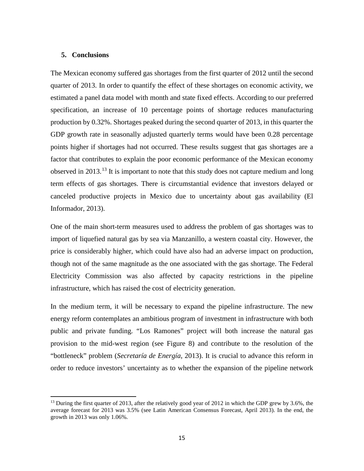#### 5. Conclusions

The Mexican economy suffered gas shortages from the first quarter of 2012 until the second quarter of 2013. In order to quantify the effect of these shortages on economic activity, we estimated a panel data model with month and state fixed effects. According to our preferred specification, an increase of 10 percentage points of shortage reduces manufacturing production by 0.32%. Shortages peaked during the second quarter of 2013, in this quarter the GDP growth rate in seasonally adjusted quarterly terms would have been 0.28 percentage points higher if shortages had not occurred. These results suggest that gas shortages are a factor that contributes to explain the poor economic performance of the Mexican economy observed in 2013.<sup>13</sup> It is important to note that this study does not capture medium and long term effects of gas shortages. There is circumstantial evidence that investors delayed or canceled productive projects in Mexico due to uncertainty about gas availability (El Informador, 2013).

One of the main short-term measures used to address the problem of gas shortages was to import of liquefied natural gas by sea via Manzanillo, a western coastal city. However, the price is considerably higher, which could have also had an adverse impact on production, though not of the same magnitude as the one associated with the gas shortage. The Federal Electricity Commission was also affected by capacity restrictions in the pipeline infrastructure, which has raised the cost of electricity generation.

In the medium term, it will be necessary to expand the pipeline infrastructure. The new energy reform contemplates an ambitious program of investment in infrastructure with both public and private funding. "Los Ramones" project will both increase the natural gas provision to the mid-west region (see Figure 8) and contribute to the resolution of the "bottleneck" problem (Secretaría de Energía, 2013). It is crucial to advance this reform in order to reduce investors' uncertainty as to whether the expansion of the pipeline network

<sup>&</sup>lt;sup>13</sup> During the first quarter of 2013, after the relatively good year of 2012 in which the GDP grew by 3.6%, the average forecast for 2013 was 3.5% (see Latin American Consensus Forecast, April 2013). In the end, the growth in  $2013$  was only  $1.06\%$ .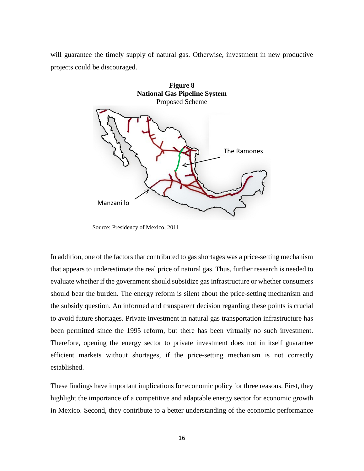will guarantee the timely supply of natural gas. Otherwise, investment in new productive projects could be discouraged.



Source: Presidency of Mexico, 2011

In addition, one of the factors that contributed to gas shortages was a price-setting mechanism that appears to underestimate the real price of natural gas. Thus, further research is needed to evaluate whether if the government should subsidize gas infrastructure or whether consumers should bear the burden. The energy reform is silent about the price-setting mechanism and the subsidy question. An informed and transparent decision regarding these points is crucial to avoid future shortages. Private investment in natural gas transportation infrastructure has been permitted since the 1995 reform, but there has been virtually no such investment. Therefore, opening the energy sector to private investment does not in itself guarantee efficient markets without shortages, if the price-setting mechanism is not correctly established

These findings have important implications for economic policy for three reasons. First, they highlight the importance of a competitive and adaptable energy sector for economic growth in Mexico. Second, they contribute to a better understanding of the economic performance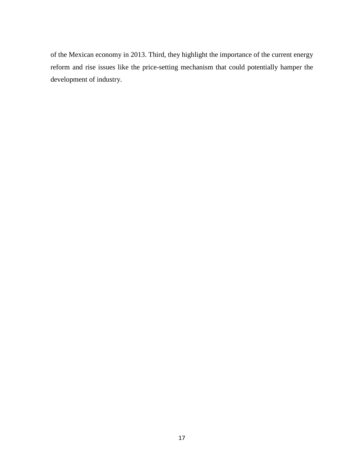of the Mexican economy in 2013. Third, they highlight the importance of the current energy reform and rise issues like the price-setting mechanism that could potentially hamper the development of industry.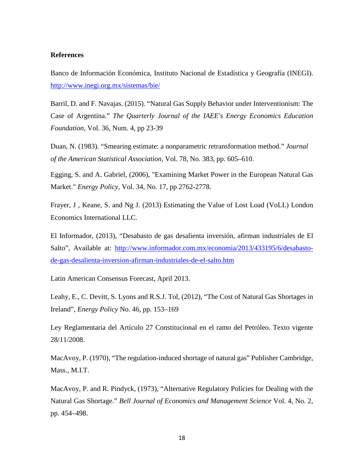#### **References**

Banco de Información Económica, Instituto Nacional de Estadística y Geografía (INEGI). http://www.inegi.org.mx/sistemas/bie/

Barril, D. and F. Navajas. (2015). "Natural Gas Supply Behavior under Interventionism: The Case of Argentina." The Quarterly Journal of the IAEE's Energy Economics Education *Foundation, Vol. 36, Num. 4, pp 23-39* 

Duan, N. (1983). "Smearing estimate: a nonparametric retransformation method." Journal of the American Statistical Association, Vol. 78, No. 383, pp. 605–610.

Egging, S. and A. Gabriel, (2006), "Examining Market Power in the European Natural Gas Market." *Energy Policy*, Vol. 34, No. 17, pp 2762-2778.

Frayer, J, Keane, S. and Ng J. (2013) Estimating the Value of Lost Load (VoLL) London Economics International LLC.

El Informador, (2013), "Desabasto de gas desalienta inversión, afirman industriales de El Salto", Available at: http://www.informador.com.mx/economia/2013/433195/6/desabastode-gas-desalienta-inversion-afirman-industriales-de-el-salto.htm

Latin American Consensus Forecast, April 2013.

Leahy, E., C. Devitt, S. Lyons and R.S.J. Tol, (2012), "The Cost of Natural Gas Shortages in Ireland", *Energy Policy* No. 46, pp. 153–169

Ley Reglamentaria del Artículo 27 Constitucional en el ramo del Petróleo. Texto vigente 28/11/2008.

MacAvoy, P. (1970), "The regulation-induced shortage of natural gas" Publisher Cambridge, Mass., M.I.T.

MacAvoy, P. and R. Pindyck, (1973), "Alternative Regulatory Policies for Dealing with the Natural Gas Shortage." Bell Journal of Economics and Management Science Vol. 4, No. 2, pp. 454-498.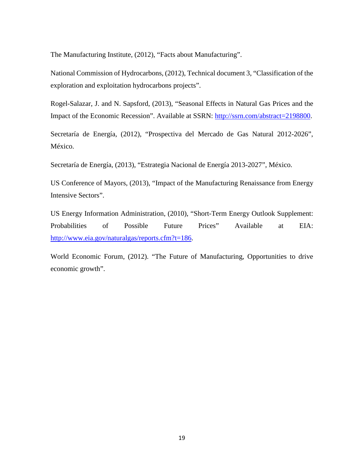The Manufacturing Institute, (2012), "Facts about Manufacturing".

National Commission of Hydrocarbons, (2012), Technical document 3, "Classification of the exploration and exploitation hydrocarbons projects".

Rogel-Salazar, J. and N. Sapsford, (2013), "Seasonal Effects in Natural Gas Prices and the Impact of the Economic Recession". Available at SSRN: http://ssrn.com/abstract=2198800.

Secretaría de Energía, (2012), "Prospectiva del Mercado de Gas Natural 2012-2026", México.

Secretaría de Energía, (2013), "Estrategia Nacional de Energía 2013-2027", México.

US Conference of Mayors, (2013), "Impact of the Manufacturing Renaissance from Energy Intensive Sectors".

US Energy Information Administration, (2010), "Short-Term Energy Outlook Supplement: Probabilities of Possible Future Prices" Available EIA: at http://www.eia.gov/naturalgas/reports.cfm?t=186.

World Economic Forum, (2012). "The Future of Manufacturing, Opportunities to drive economic growth".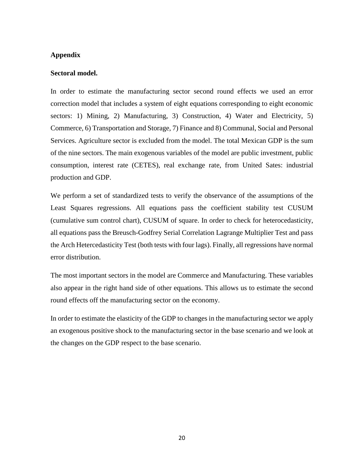# **Appendix**

## Sectoral model.

In order to estimate the manufacturing sector second round effects we used an error correction model that includes a system of eight equations corresponding to eight economic sectors: 1) Mining, 2) Manufacturing, 3) Construction, 4) Water and Electricity, 5) Commerce, 6) Transportation and Storage, 7) Finance and 8) Communal, Social and Personal Services. Agriculture sector is excluded from the model. The total Mexican GDP is the sum of the nine sectors. The main exogenous variables of the model are public investment, public consumption, interest rate (CETES), real exchange rate, from United Sates: industrial production and GDP.

We perform a set of standardized tests to verify the observance of the assumptions of the Least Squares regressions. All equations pass the coefficient stability test CUSUM (cumulative sum control chart), CUSUM of square. In order to check for heterocedasticity, all equations pass the Breusch-Godfrey Serial Correlation Lagrange Multiplier Test and pass the Arch Hetercedasticity Test (both tests with four lags). Finally, all regressions have normal error distribution.

The most important sectors in the model are Commerce and Manufacturing. These variables also appear in the right hand side of other equations. This allows us to estimate the second round effects off the manufacturing sector on the economy.

In order to estimate the elasticity of the GDP to changes in the manufacturing sector we apply an exogenous positive shock to the manufacturing sector in the base scenario and we look at the changes on the GDP respect to the base scenario.